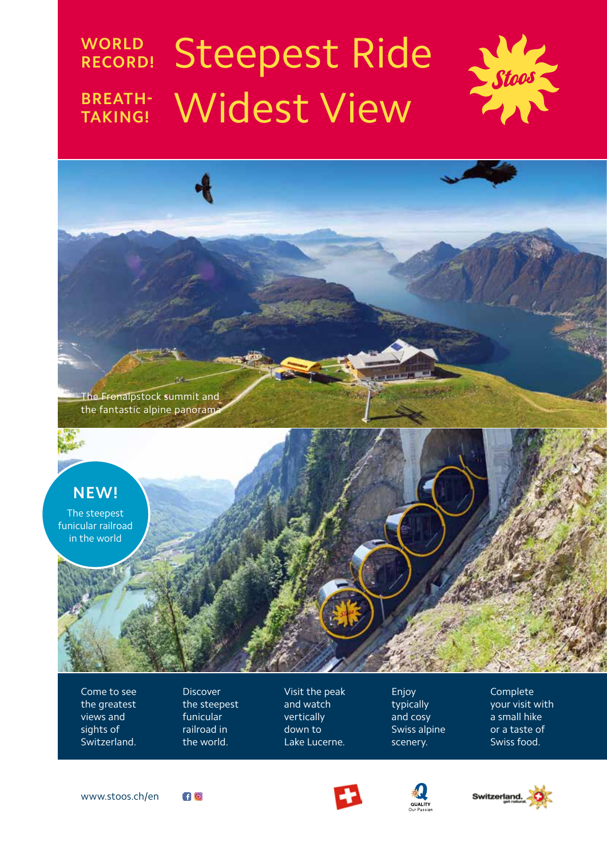# **WORLD Steepest Ride BREATH- Widest View**





Come to see the greatest views and sights of Switzerland. Discover the steepest funicular railroad in the world.

Visit the peak and watch vertically down to Lake Lucerne.

Enjoy typically and cosy Swiss alpine scenery.

Complete your visit with a small hike or a taste of Swiss food.









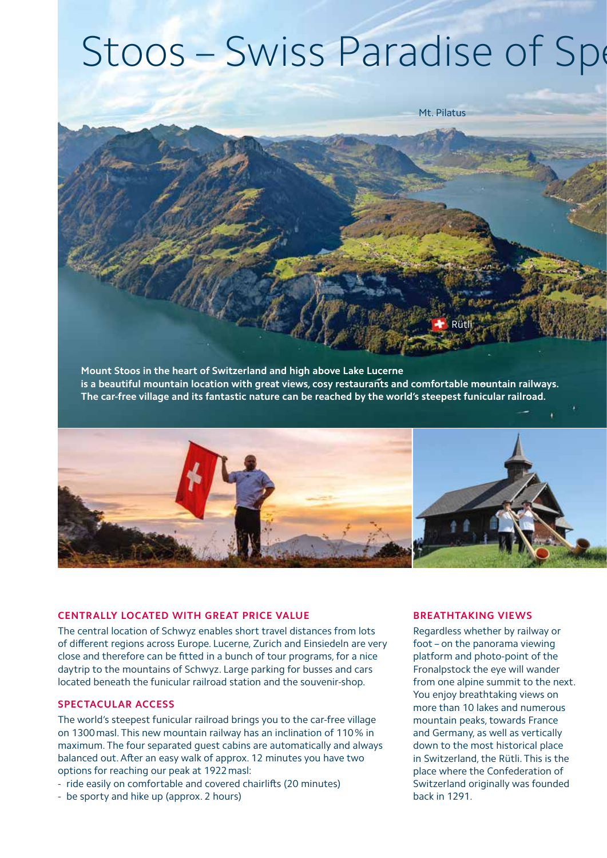# Stoos - Swiss Paradise of Spe



**Mount Stoos in the heart of Switzerland and high above Lake Lucerne is a beautiful mountain location with great views, cosy restaurants and comfortable mountain railways. The car-free village and its fantastic nature can be reached by the world's steepest funicular railroad.**



# **CENTRALLY LOCATED WITH GREAT PRICE VALUE**

The central location of Schwyz enables short travel distances from lots of different regions across Europe. Lucerne, Zurich and Einsiedeln are very close and therefore can be fitted in a bunch of tour programs, for a nice daytrip to the mountains of Schwyz. Large parking for busses and cars located beneath the funicular railroad station and the souvenir-shop.

### **SPECTACULAR ACCESS**

The world's steepest funicular railroad brings you to the car-free village on 1300masl. This new mountain railway has an inclination of 110% in maximum. The four separated guest cabins are automatically and always balanced out. After an easy walk of approx. 12 minutes you have two options for reaching our peak at 1922masl:

- ride easily on comfortable and covered chairlifts (20 minutes)
- be sporty and hike up (approx. 2 hours)

#### **BREATHTAKING VIEWS**

Regardless whether by railway or foot – on the panorama viewing platform and photo-point of the Fronalpstock the eye will wander from one alpine summit to the next. You enjoy breathtaking views on more than 10 lakes and numerous mountain peaks, towards France and Germany, as well as vertically down to the most historical place in Switzerland, the Rütli. This is the place where the Confederation of Switzerland originally was founded back in 1291.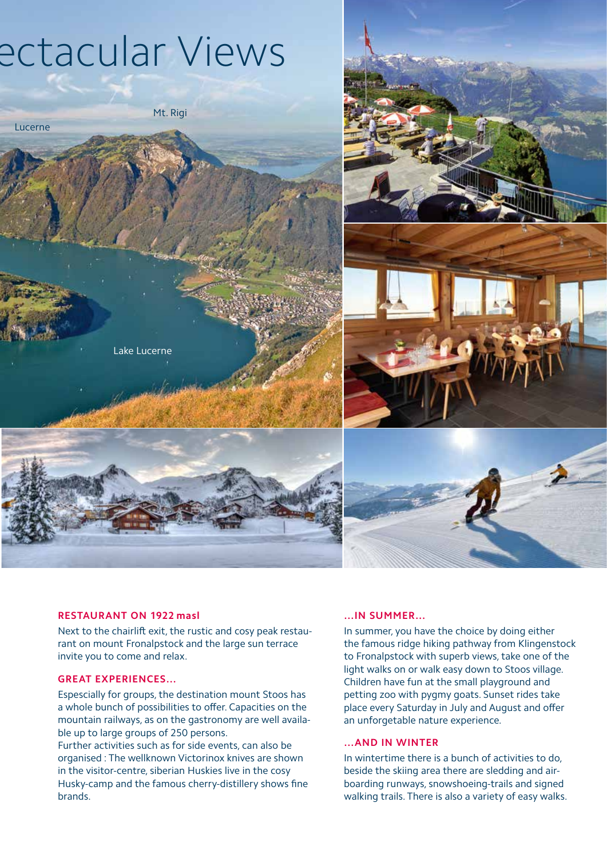# ectacular Views

Lucerne

Lake Lucerne

Mt. Rigi



# **RESTAURANT ON 1922 masl**

Next to the chairlift exit, the rustic and cosy peak restaurant on mount Fronalpstock and the large sun terrace invite you to come and relax.

# **GREAT EXPERIENCES…**

Espescially for groups, the destination mount Stoos has a whole bunch of possibilities to offer. Capacities on the mountain railways, as on the gastronomy are well available up to large groups of 250 persons.

Further activities such as for side events, can also be organised : The wellknown Victorinox knives are shown in the visitor-centre, siberian Huskies live in the cosy Husky-camp and the famous cherry-distillery shows fine brands.

#### **…IN SUMMER…**

In summer, you have the choice by doing either the famous ridge hiking pathway from Klingenstock to Fronalpstock with superb views, take one of the light walks on or walk easy down to Stoos village. Children have fun at the small playground and petting zoo with pygmy goats. Sunset rides take place every Saturday in July and August and offer an unforgetable nature experience.

### **…AND IN WINTER**

In wintertime there is a bunch of activities to do, beside the skiing area there are sledding and airboarding runways, snowshoeing-trails and signed walking trails. There is also a variety of easy walks.